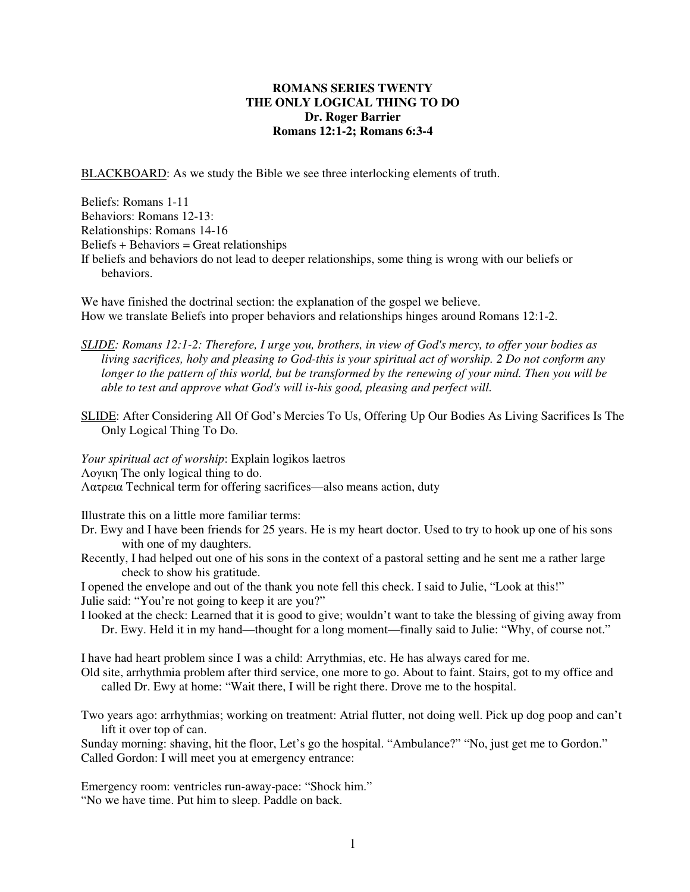## **ROMANS SERIES TWENTY THE ONLY LOGICAL THING TO DO Dr. Roger Barrier Romans 12:1-2; Romans 6:3-4**

BLACKBOARD: As we study the Bible we see three interlocking elements of truth.

Beliefs: Romans 1-11 Behaviors: Romans 12-13: Relationships: Romans 14-16 Beliefs + Behaviors = Great relationships If beliefs and behaviors do not lead to deeper relationships, some thing is wrong with our beliefs or behaviors.

We have finished the doctrinal section: the explanation of the gospel we believe. How we translate Beliefs into proper behaviors and relationships hinges around Romans 12:1-2.

- *SLIDE: Romans 12:1-2: Therefore, I urge you, brothers, in view of God's mercy, to offer your bodies as living sacrifices, holy and pleasing to God-this is your spiritual act of worship. 2 Do not conform any longer to the pattern of this world, but be transformed by the renewing of your mind. Then you will be able to test and approve what God's will is-his good, pleasing and perfect will.*
- SLIDE: After Considering All Of God's Mercies To Us, Offering Up Our Bodies As Living Sacrifices Is The Only Logical Thing To Do.

*Your spiritual act of worship*: Explain logikos laetros Λογικη The only logical thing to do. Λατρεια Technical term for offering sacrifices—also means action, duty

Illustrate this on a little more familiar terms:

- Dr. Ewy and I have been friends for 25 years. He is my heart doctor. Used to try to hook up one of his sons with one of my daughters.
- Recently, I had helped out one of his sons in the context of a pastoral setting and he sent me a rather large check to show his gratitude.

I opened the envelope and out of the thank you note fell this check. I said to Julie, "Look at this!" Julie said: "You're not going to keep it are you?"

I looked at the check: Learned that it is good to give; wouldn't want to take the blessing of giving away from Dr. Ewy. Held it in my hand—thought for a long moment—finally said to Julie: "Why, of course not."

I have had heart problem since I was a child: Arrythmias, etc. He has always cared for me.

Old site, arrhythmia problem after third service, one more to go. About to faint. Stairs, got to my office and called Dr. Ewy at home: "Wait there, I will be right there. Drove me to the hospital.

Two years ago: arrhythmias; working on treatment: Atrial flutter, not doing well. Pick up dog poop and can't lift it over top of can.

Sunday morning: shaving, hit the floor, Let's go the hospital. "Ambulance?" "No, just get me to Gordon." Called Gordon: I will meet you at emergency entrance:

Emergency room: ventricles run-away-pace: "Shock him." "No we have time. Put him to sleep. Paddle on back.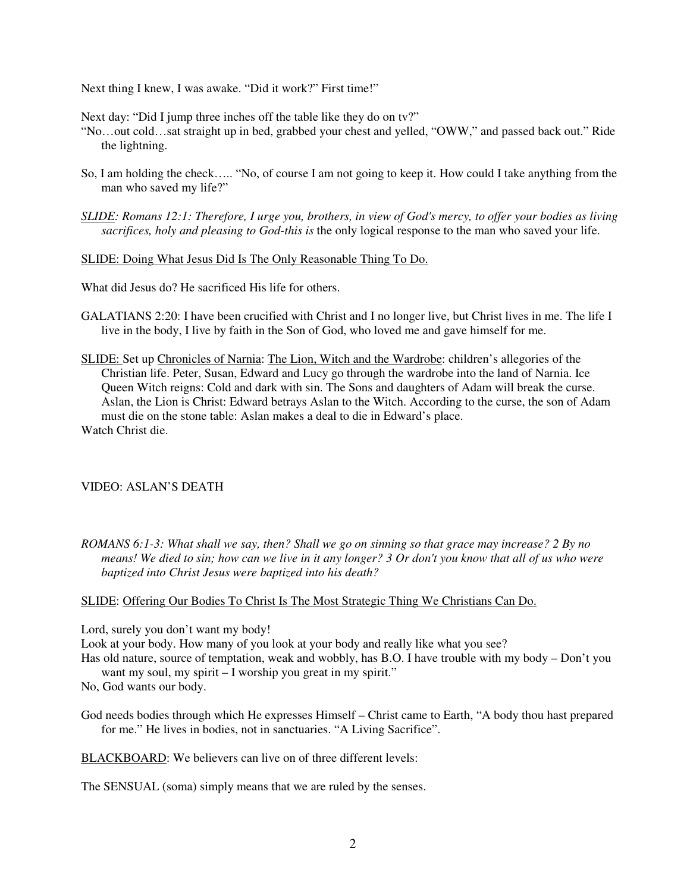Next thing I knew, I was awake. "Did it work?" First time!"

Next day: "Did I jump three inches off the table like they do on tv?"

- "No…out cold…sat straight up in bed, grabbed your chest and yelled, "OWW," and passed back out." Ride the lightning.
- So, I am holding the check….. "No, of course I am not going to keep it. How could I take anything from the man who saved my life?"
- *SLIDE: Romans 12:1: Therefore, I urge you, brothers, in view of God's mercy, to offer your bodies as living sacrifices, holy and pleasing to God-this is* the only logical response to the man who saved your life.

SLIDE: Doing What Jesus Did Is The Only Reasonable Thing To Do.

What did Jesus do? He sacrificed His life for others.

- GALATIANS 2:20: I have been crucified with Christ and I no longer live, but Christ lives in me. The life I live in the body, I live by faith in the Son of God, who loved me and gave himself for me.
- SLIDE: Set up Chronicles of Narnia: The Lion, Witch and the Wardrobe: children's allegories of the Christian life. Peter, Susan, Edward and Lucy go through the wardrobe into the land of Narnia. Ice Queen Witch reigns: Cold and dark with sin. The Sons and daughters of Adam will break the curse. Aslan, the Lion is Christ: Edward betrays Aslan to the Witch. According to the curse, the son of Adam must die on the stone table: Aslan makes a deal to die in Edward's place. Watch Christ die.

## VIDEO: ASLAN'S DEATH

*ROMANS 6:1-3: What shall we say, then? Shall we go on sinning so that grace may increase? 2 By no means! We died to sin; how can we live in it any longer? 3 Or don't you know that all of us who were baptized into Christ Jesus were baptized into his death?* 

## SLIDE: Offering Our Bodies To Christ Is The Most Strategic Thing We Christians Can Do.

Lord, surely you don't want my body!

Look at your body. How many of you look at your body and really like what you see?

- Has old nature, source of temptation, weak and wobbly, has B.O. I have trouble with my body Don't you want my soul, my spirit – I worship you great in my spirit."
- No, God wants our body.

God needs bodies through which He expresses Himself – Christ came to Earth, "A body thou hast prepared for me." He lives in bodies, not in sanctuaries. "A Living Sacrifice".

BLACKBOARD: We believers can live on of three different levels:

The SENSUAL (soma) simply means that we are ruled by the senses.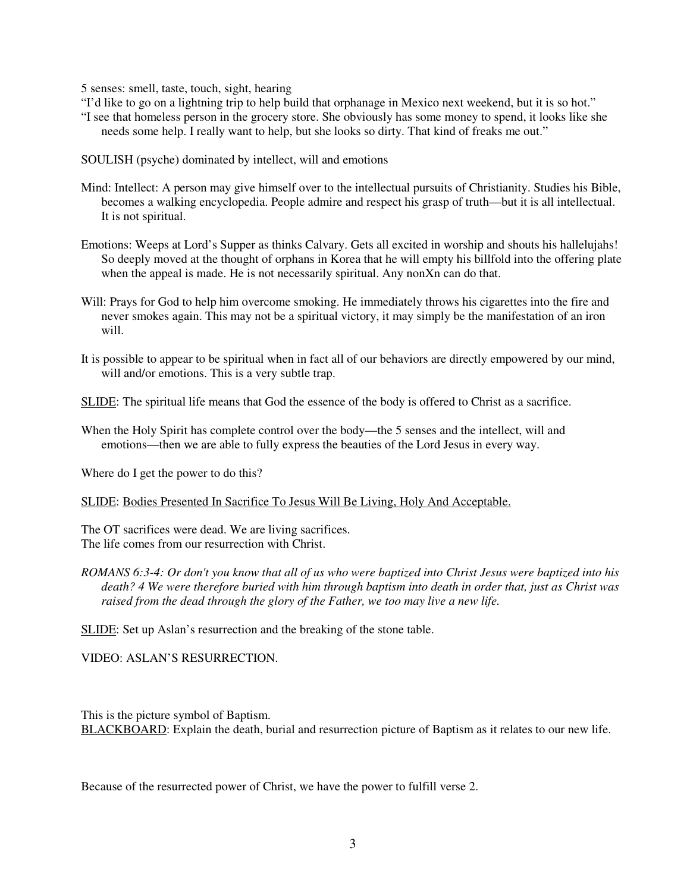5 senses: smell, taste, touch, sight, hearing

- "I'd like to go on a lightning trip to help build that orphanage in Mexico next weekend, but it is so hot."
- "I see that homeless person in the grocery store. She obviously has some money to spend, it looks like she needs some help. I really want to help, but she looks so dirty. That kind of freaks me out."

SOULISH (psyche) dominated by intellect, will and emotions

- Mind: Intellect: A person may give himself over to the intellectual pursuits of Christianity. Studies his Bible, becomes a walking encyclopedia. People admire and respect his grasp of truth—but it is all intellectual. It is not spiritual.
- Emotions: Weeps at Lord's Supper as thinks Calvary. Gets all excited in worship and shouts his hallelujahs! So deeply moved at the thought of orphans in Korea that he will empty his billfold into the offering plate when the appeal is made. He is not necessarily spiritual. Any nonXn can do that.
- Will: Prays for God to help him overcome smoking. He immediately throws his cigarettes into the fire and never smokes again. This may not be a spiritual victory, it may simply be the manifestation of an iron will.
- It is possible to appear to be spiritual when in fact all of our behaviors are directly empowered by our mind, will and/or emotions. This is a very subtle trap.
- SLIDE: The spiritual life means that God the essence of the body is offered to Christ as a sacrifice.
- When the Holy Spirit has complete control over the body—the 5 senses and the intellect, will and emotions—then we are able to fully express the beauties of the Lord Jesus in every way.

Where do I get the power to do this?

SLIDE: Bodies Presented In Sacrifice To Jesus Will Be Living, Holy And Acceptable.

The OT sacrifices were dead. We are living sacrifices. The life comes from our resurrection with Christ.

*ROMANS 6:3-4: Or don't you know that all of us who were baptized into Christ Jesus were baptized into his death? 4 We were therefore buried with him through baptism into death in order that, just as Christ was raised from the dead through the glory of the Father, we too may live a new life.* 

SLIDE: Set up Aslan's resurrection and the breaking of the stone table.

VIDEO: ASLAN'S RESURRECTION.

This is the picture symbol of Baptism. BLACKBOARD: Explain the death, burial and resurrection picture of Baptism as it relates to our new life.

Because of the resurrected power of Christ, we have the power to fulfill verse 2.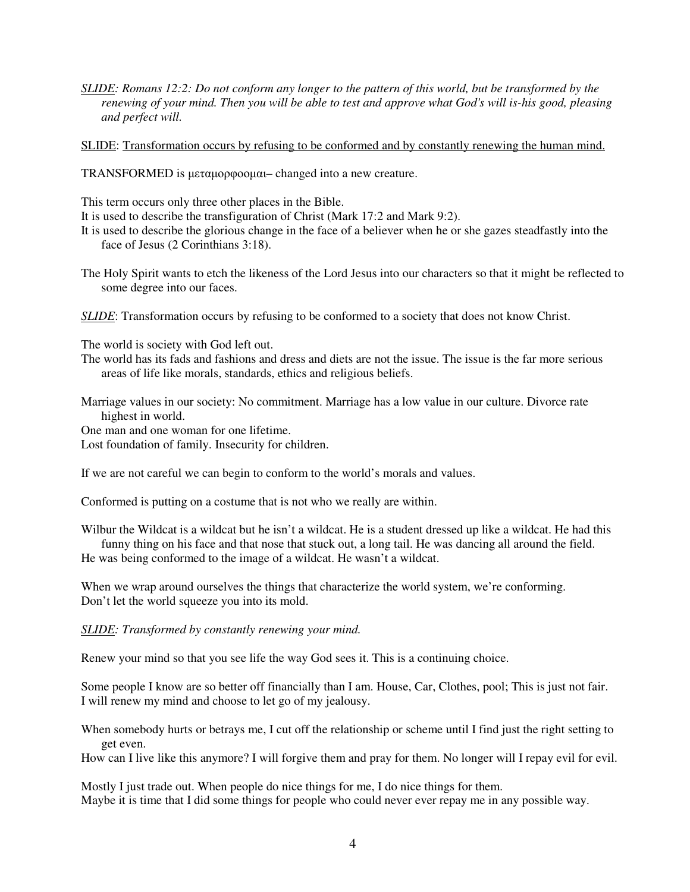*SLIDE: Romans 12:2: Do not conform any longer to the pattern of this world, but be transformed by the renewing of your mind. Then you will be able to test and approve what God's will is-his good, pleasing and perfect will.* 

SLIDE: Transformation occurs by refusing to be conformed and by constantly renewing the human mind.

TRANSFORMED is µεταµορφοοµαι– changed into a new creature.

This term occurs only three other places in the Bible.

It is used to describe the transfiguration of Christ (Mark 17:2 and Mark 9:2).

- It is used to describe the glorious change in the face of a believer when he or she gazes steadfastly into the face of Jesus (2 Corinthians 3:18).
- The Holy Spirit wants to etch the likeness of the Lord Jesus into our characters so that it might be reflected to some degree into our faces.
- *SLIDE*: Transformation occurs by refusing to be conformed to a society that does not know Christ.

The world is society with God left out.

The world has its fads and fashions and dress and diets are not the issue. The issue is the far more serious areas of life like morals, standards, ethics and religious beliefs.

Marriage values in our society: No commitment. Marriage has a low value in our culture. Divorce rate highest in world.

One man and one woman for one lifetime.

Lost foundation of family. Insecurity for children.

If we are not careful we can begin to conform to the world's morals and values.

Conformed is putting on a costume that is not who we really are within.

Wilbur the Wildcat is a wildcat but he isn't a wildcat. He is a student dressed up like a wildcat. He had this funny thing on his face and that nose that stuck out, a long tail. He was dancing all around the field.

He was being conformed to the image of a wildcat. He wasn't a wildcat.

When we wrap around ourselves the things that characterize the world system, we're conforming. Don't let the world squeeze you into its mold.

*SLIDE: Transformed by constantly renewing your mind.* 

Renew your mind so that you see life the way God sees it. This is a continuing choice.

Some people I know are so better off financially than I am. House, Car, Clothes, pool; This is just not fair. I will renew my mind and choose to let go of my jealousy.

When somebody hurts or betrays me, I cut off the relationship or scheme until I find just the right setting to get even.

How can I live like this anymore? I will forgive them and pray for them. No longer will I repay evil for evil.

Mostly I just trade out. When people do nice things for me, I do nice things for them. Maybe it is time that I did some things for people who could never ever repay me in any possible way.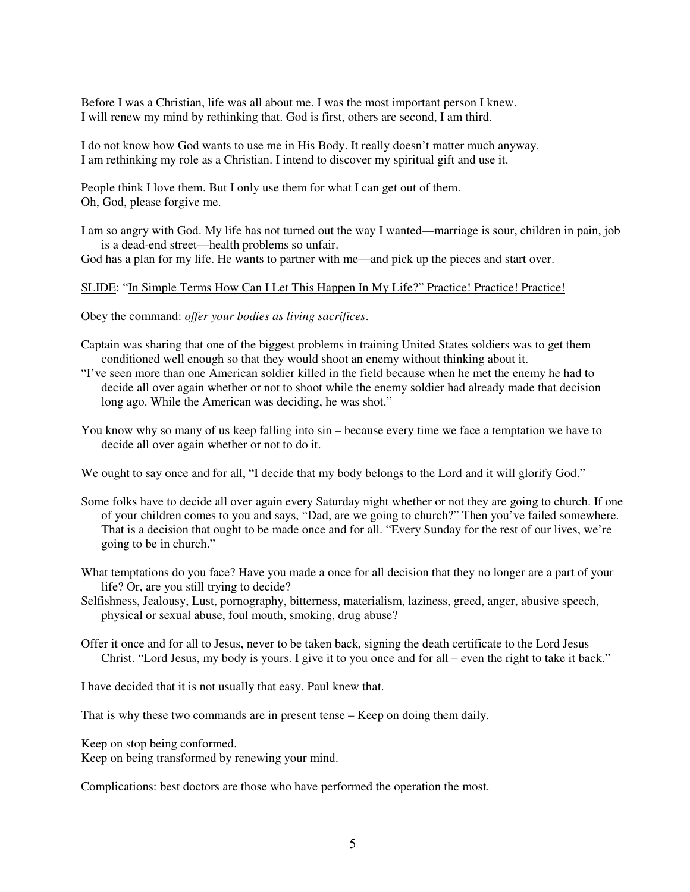Before I was a Christian, life was all about me. I was the most important person I knew. I will renew my mind by rethinking that. God is first, others are second, I am third.

I do not know how God wants to use me in His Body. It really doesn't matter much anyway. I am rethinking my role as a Christian. I intend to discover my spiritual gift and use it.

People think I love them. But I only use them for what I can get out of them. Oh, God, please forgive me.

I am so angry with God. My life has not turned out the way I wanted—marriage is sour, children in pain, job is a dead-end street—health problems so unfair.

God has a plan for my life. He wants to partner with me—and pick up the pieces and start over.

## SLIDE: "In Simple Terms How Can I Let This Happen In My Life?" Practice! Practice! Practice!

Obey the command: *offer your bodies as living sacrifices*.

- Captain was sharing that one of the biggest problems in training United States soldiers was to get them conditioned well enough so that they would shoot an enemy without thinking about it.
- "I've seen more than one American soldier killed in the field because when he met the enemy he had to decide all over again whether or not to shoot while the enemy soldier had already made that decision long ago. While the American was deciding, he was shot."
- You know why so many of us keep falling into sin because every time we face a temptation we have to decide all over again whether or not to do it.

We ought to say once and for all, "I decide that my body belongs to the Lord and it will glorify God."

- Some folks have to decide all over again every Saturday night whether or not they are going to church. If one of your children comes to you and says, "Dad, are we going to church?" Then you've failed somewhere. That is a decision that ought to be made once and for all. "Every Sunday for the rest of our lives, we're going to be in church."
- What temptations do you face? Have you made a once for all decision that they no longer are a part of your life? Or, are you still trying to decide?
- Selfishness, Jealousy, Lust, pornography, bitterness, materialism, laziness, greed, anger, abusive speech, physical or sexual abuse, foul mouth, smoking, drug abuse?
- Offer it once and for all to Jesus, never to be taken back, signing the death certificate to the Lord Jesus Christ. "Lord Jesus, my body is yours. I give it to you once and for all – even the right to take it back."

I have decided that it is not usually that easy. Paul knew that.

That is why these two commands are in present tense – Keep on doing them daily.

Keep on stop being conformed. Keep on being transformed by renewing your mind.

Complications: best doctors are those who have performed the operation the most.